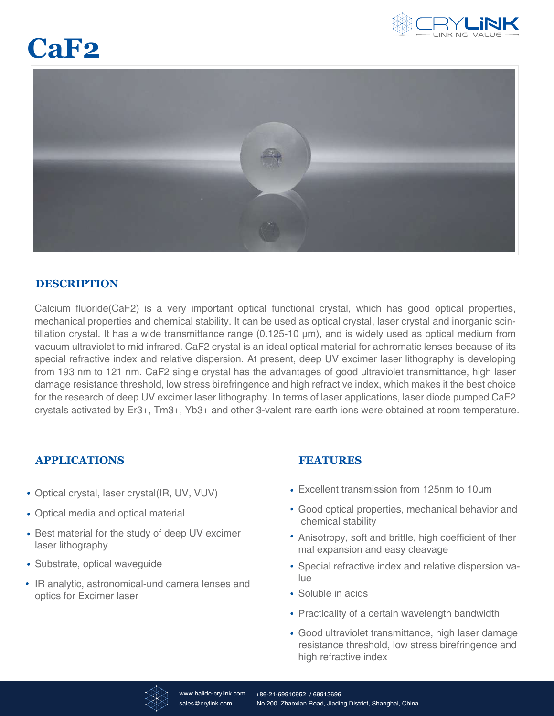

# **CaF2**



## **DESCRIPTION**

Calcium fluoride(CaF2) is a very important optical functional crystal, which has good optical properties, mechanical properties and chemical stability. It can be used as optical crystal, laser crystal and inorganic scintillation crystal. It has a wide transmittance range (0.125-10 µm), and is widely used as optical medium from vacuum ultraviolet to mid infrared. CaF2 crystal is an ideal optical material for achromatic lenses because of its special refractive index and relative dispersion. At present, deep UV excimer laser lithography is developing from 193 nm to 121 nm. CaF2 single crystal has the advantages of good ultraviolet transmittance, high laser damage resistance threshold, low stress birefringence and high refractive index, which makes it the best choice for the research of deep UV excimer laser lithography. In terms of laser applications, laser diode pumped CaF2 crystals activated by Er3+, Tm3+, Yb3+ and other 3-valent rare earth ions were obtained at room temperature.

## **APPLICATIONS**

- Optical crystal, laser crystal(IR, UV, VUV)
- Optical media and optical material
- Best material for the study of deep UV excimer laser lithography
- Substrate, optical waveguide
- IR analytic, astronomical-und camera lenses and optics for Excimer laser

## **FEATURES**

- Excellent transmission from 125nm to 10um
- Good optical properties, mechanical behavior and chemical stability
- Anisotropy, soft and brittle, high coefficient of ther mal expansion and easy cleavage
- Special refractive index and relative dispersion value
- Soluble in acids
- Practicality of a certain wavelength bandwidth
- Good ultraviolet transmittance, high laser damage resistance threshold, low stress birefringence and high refractive index